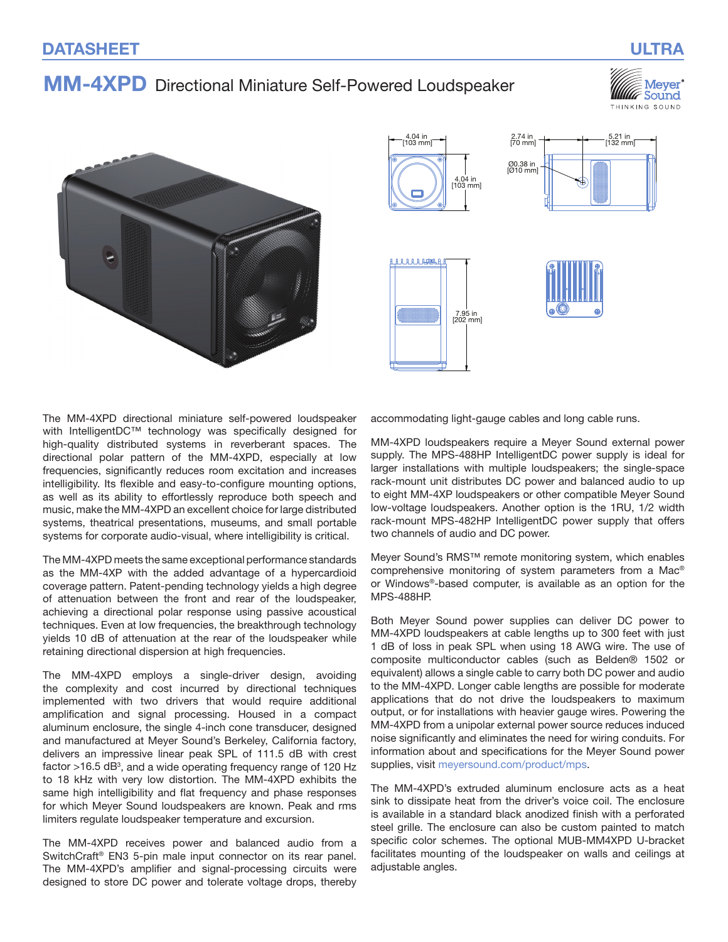# MM-4XPD Directional Miniature Self-Powered Loudspeaker

Meyer Sound THINKING SOUND





The MM‑4XPD directional miniature self-powered loudspeaker with IntelligentDC™ technology was specifically designed for high-quality distributed systems in reverberant spaces. The directional polar pattern of the MM-4XPD, especially at low frequencies, significantly reduces room excitation and increases intelligibility. Its flexible and easy-to-configure mounting options, as well as its ability to effortlessly reproduce both speech and music, make the MM‑4XPD an excellent choice for large distributed systems, theatrical presentations, museums, and small portable systems for corporate audio-visual, where intelligibility is critical.

The MM‑4XPD meets the same exceptional performance standards as the MM‑4XP with the added advantage of a hypercardioid coverage pattern. Patent-pending technology yields a high degree of attenuation between the front and rear of the loudspeaker, achieving a directional polar response using passive acoustical techniques. Even at low frequencies, the breakthrough technology yields 10 dB of attenuation at the rear of the loudspeaker while retaining directional dispersion at high frequencies.

The MM‑4XPD employs a single-driver design, avoiding the complexity and cost incurred by directional techniques implemented with two drivers that would require additional amplification and signal processing. Housed in a compact aluminum enclosure, the single 4-inch cone transducer, designed and manufactured at Meyer Sound's Berkeley, California factory, delivers an impressive linear peak SPL of 111.5 dB with crest factor  $>16.5$  dB<sup>3</sup>, and a wide operating frequency range of 120 Hz to 18 kHz with very low distortion. The MM‑4XPD exhibits the same high intelligibility and flat frequency and phase responses for which Meyer Sound loudspeakers are known. Peak and rms limiters regulate loudspeaker temperature and excursion.

The MM‑4XPD receives power and balanced audio from a SwitchCraft® EN3 5-pin male input connector on its rear panel. The MM‑4XPD's amplifier and signal-processing circuits were designed to store DC power and tolerate voltage drops, thereby

accommodating light-gauge cables and long cable runs.

MM-4XPD loudspeakers require a Meyer Sound external power supply. The MPS-488HP IntelligentDC power supply is ideal for larger installations with multiple loudspeakers; the single-space rack-mount unit distributes DC power and balanced audio to up to eight MM‑4XP loudspeakers or other compatible Meyer Sound low-voltage loudspeakers. Another option is the 1RU, 1/2 width rack-mount MPS-482HP IntelligentDC power supply that offers two channels of audio and DC power.

Meyer Sound's RMS™ remote monitoring system, which enables comprehensive monitoring of system parameters from a Mac® or Windows®‑based computer, is available as an option for the MPS‑488HP.

Both Meyer Sound power supplies can deliver DC power to MM‑4XPD loudspeakers at cable lengths up to 300 feet with just 1 dB of loss in peak SPL when using 18 AWG wire. The use of composite multiconductor cables (such as Belden® 1502 or equivalent) allows a single cable to carry both DC power and audio to the MM‑4XPD. Longer cable lengths are possible for moderate applications that do not drive the loudspeakers to maximum output, or for installations with heavier gauge wires. Powering the MM‑4XPD from a unipolar external power source reduces induced noise significantly and eliminates the need for wiring conduits. For information about and specifications for the Meyer Sound power supplies, visit [meyersound.com/product/mps.](https://meyersound.com/product/mps)

The MM‑4XPD's extruded aluminum enclosure acts as a heat sink to dissipate heat from the driver's voice coil. The enclosure is available in a standard black anodized finish with a perforated steel grille. The enclosure can also be custom painted to match specific color schemes. The optional MUB-MM4XPD U-bracket facilitates mounting of the loudspeaker on walls and ceilings at adiustable angles.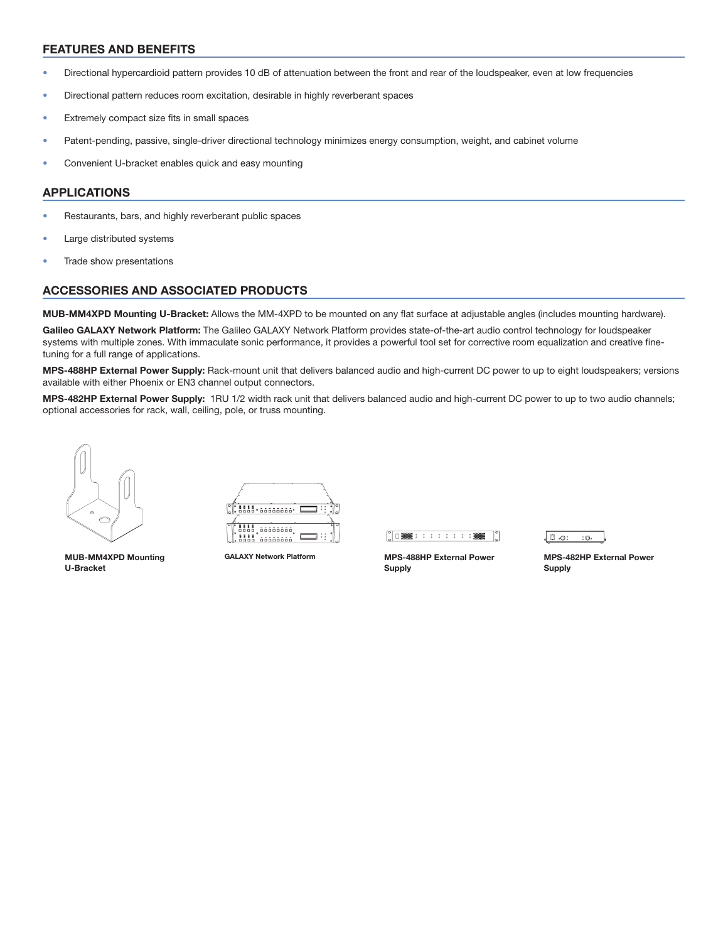### FEATURES AND BENEFITS

- Directional hypercardioid pattern provides 10 dB of attenuation between the front and rear of the loudspeaker, even at low frequencies
- Directional pattern reduces room excitation, desirable in highly reverberant spaces
- Extremely compact size fits in small spaces
- Patent-pending, passive, single-driver directional technology minimizes energy consumption, weight, and cabinet volume
- Convenient U-bracket enables quick and easy mounting

### APPLICATIONS

- Restaurants, bars, and highly reverberant public spaces
- Large distributed systems
- Trade show presentations

## ACCESSORIES AND ASSOCIATED PRODUCTS

MUB-MM4XPD Mounting U-Bracket: Allows the MM-4XPD to be mounted on any flat surface at adjustable angles (includes mounting hardware).

Galileo GALAXY Network Platform: The Galileo GALAXY Network Platform provides state-of-the-art audio control technology for loudspeaker systems with multiple zones. With immaculate sonic performance, it provides a powerful tool set for corrective room equalization and creative finetuning for a full range of applications.

MPS-488HP External Power Supply: Rack-mount unit that delivers balanced audio and high-current DC power to up to eight loudspeakers; versions available with either Phoenix or EN3 channel output connectors.

MPS-482HP External Power Supply: 1RU 1/2 width rack unit that delivers balanced audio and high-current DC power to up to two audio channels; optional accessories for rack, wall, ceiling, pole, or truss mounting.



MUB-MM4XPD Mounting U-Bracket

1888 00000000. 

GALAXY Network Platform MPS-488HP External Power

 $\begin{bmatrix} 0 \\ 0 \end{bmatrix} \square \begin{bmatrix} \begin{matrix} 0 \\ 0 \\ 0 \end{matrix} \end{bmatrix} \square \begin{bmatrix} \begin{matrix} 0 \\ 0 \\ 0 \end{matrix} \end{bmatrix} \begin{bmatrix} \begin{matrix} 0 \\ 0 \\ 0 \end{matrix} \end{bmatrix} \begin{bmatrix} \begin{matrix} 0 \\ 0 \\ 0 \end{matrix} \end{bmatrix} \begin{bmatrix} \begin{matrix} 0 \\ 0 \\ 0 \end{matrix} \end{bmatrix} \begin{bmatrix} \begin{matrix} 0 \\ 0 \\ 0 \end{matrix} \end{bmatrix}$ 

Supply

.O. E.  $\ddot{\circ}$ 

MPS-482HP External Power Supply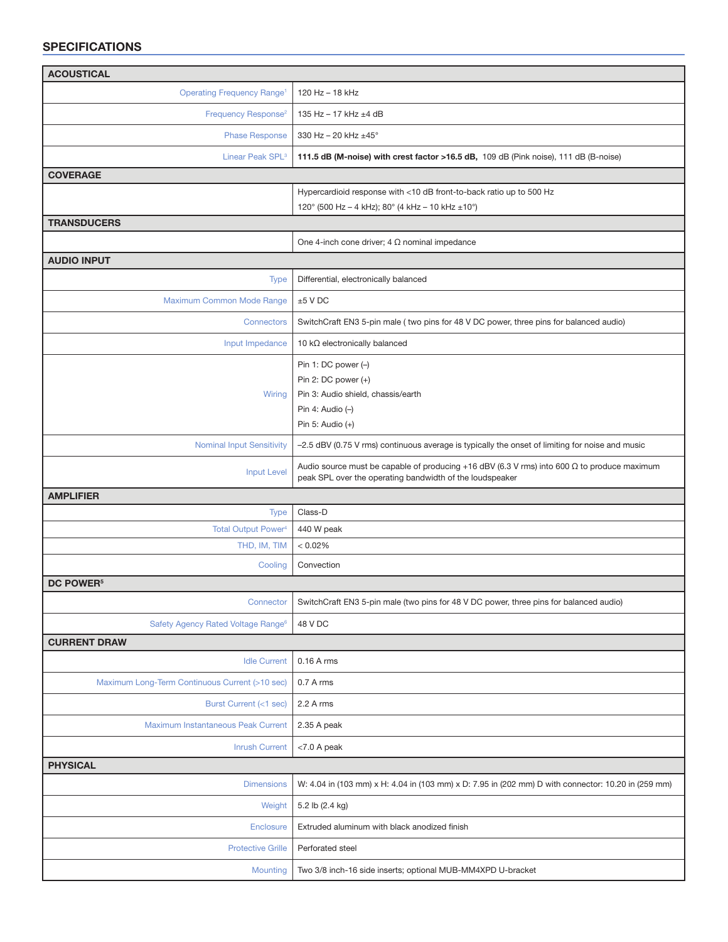## SPECIFICATIONS

| <b>ACOUSTICAL</b>                              |                                                                                                                                                                |
|------------------------------------------------|----------------------------------------------------------------------------------------------------------------------------------------------------------------|
| <b>Operating Frequency Range<sup>1</sup></b>   | 120 Hz - 18 kHz                                                                                                                                                |
| Frequency Response <sup>2</sup>                | 135 Hz - 17 kHz ±4 dB                                                                                                                                          |
| <b>Phase Response</b>                          | 330 Hz - 20 kHz ±45°                                                                                                                                           |
| Linear Peak SPL <sup>3</sup>                   | 111.5 dB (M-noise) with crest factor >16.5 dB, 109 dB (Pink noise), 111 dB (B-noise)                                                                           |
| <b>COVERAGE</b>                                |                                                                                                                                                                |
|                                                | Hypercardioid response with <10 dB front-to-back ratio up to 500 Hz                                                                                            |
|                                                | 120° (500 Hz - 4 kHz); 80° (4 kHz - 10 kHz ±10°)                                                                                                               |
| <b>TRANSDUCERS</b>                             |                                                                                                                                                                |
|                                                | One 4-inch cone driver; $4 \Omega$ nominal impedance                                                                                                           |
| <b>AUDIO INPUT</b>                             |                                                                                                                                                                |
| <b>Type</b>                                    | Differential, electronically balanced                                                                                                                          |
| Maximum Common Mode Range                      | $±5$ V DC                                                                                                                                                      |
| Connectors                                     | SwitchCraft EN3 5-pin male (two pins for 48 V DC power, three pins for balanced audio)                                                                         |
| Input Impedance                                | 10 $k\Omega$ electronically balanced                                                                                                                           |
|                                                | Pin 1: DC power $(-)$                                                                                                                                          |
|                                                | Pin 2: $DC$ power $(+)$                                                                                                                                        |
| Wiring                                         | Pin 3: Audio shield, chassis/earth                                                                                                                             |
|                                                | Pin 4: Audio $(-)$                                                                                                                                             |
|                                                | Pin 5: Audio $(+)$                                                                                                                                             |
| <b>Nominal Input Sensitivity</b>               | -2.5 dBV (0.75 V rms) continuous average is typically the onset of limiting for noise and music                                                                |
| <b>Input Level</b>                             | Audio source must be capable of producing +16 dBV (6.3 V rms) into 600 $\Omega$ to produce maximum<br>peak SPL over the operating bandwidth of the loudspeaker |
| <b>AMPLIFIER</b>                               |                                                                                                                                                                |
| <b>Type</b>                                    | Class-D                                                                                                                                                        |
| <b>Total Output Power4</b>                     | 440 W peak                                                                                                                                                     |
| THD, IM, TIM                                   | < 0.02%                                                                                                                                                        |
| Cooling                                        | Convection                                                                                                                                                     |
| <b>DC POWER<sup>5</sup></b>                    |                                                                                                                                                                |
| Connector                                      | SwitchCraft EN3 5-pin male (two pins for 48 V DC power, three pins for balanced audio)                                                                         |
| Safety Agency Rated Voltage Range <sup>6</sup> | 48 V DC                                                                                                                                                        |
| <b>CURRENT DRAW</b>                            |                                                                                                                                                                |
| <b>Idle Current</b>                            | 0.16 A rms                                                                                                                                                     |
| Maximum Long-Term Continuous Current (>10 sec) | 0.7 A rms                                                                                                                                                      |
| Burst Current (<1 sec)                         | $2.2A$ rms                                                                                                                                                     |
| Maximum Instantaneous Peak Current             | 2.35 A peak                                                                                                                                                    |
| <b>Inrush Current</b>                          | $<$ 7.0 A peak                                                                                                                                                 |
| <b>PHYSICAL</b>                                |                                                                                                                                                                |
| <b>Dimensions</b>                              | W: 4.04 in (103 mm) x H: 4.04 in (103 mm) x D: 7.95 in (202 mm) D with connector: 10.20 in (259 mm)                                                            |
| Weight                                         | 5.2 lb (2.4 kg)                                                                                                                                                |
| Enclosure                                      | Extruded aluminum with black anodized finish                                                                                                                   |
| <b>Protective Grille</b>                       | Perforated steel                                                                                                                                               |
| <b>Mounting</b>                                | Two 3/8 inch-16 side inserts; optional MUB-MM4XPD U-bracket                                                                                                    |